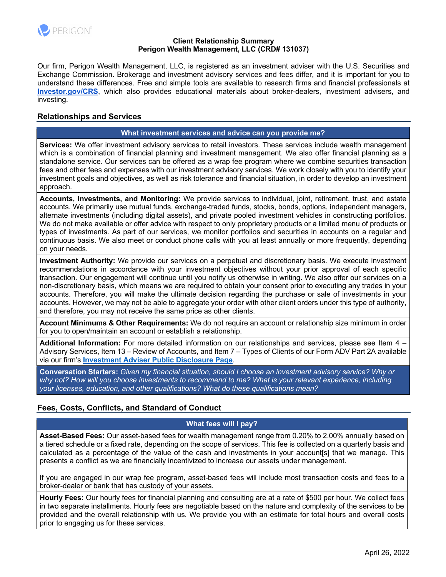

#### **Client Relationship Summary Perigon Wealth Management, LLC (CRD# 131037)**

Our firm, Perigon Wealth Management, LLC, is registered as an investment adviser with the U.S. Securities and Exchange Commission. Brokerage and investment advisory services and fees differ, and it is important for you to understand these differences. Free and simple tools are available to research firms and financial professionals at **Investor.gov/CRS**, which also provides educational materials about broker-dealers, investment advisers, and investing.

# **Relationships and Services**

#### **What investment services and advice can you provide me?**

**Services:** We offer investment advisory services to retail investors. These services include wealth management which is a combination of financial planning and investment management. We also offer financial planning as a standalone service. Our services can be offered as a wrap fee program where we combine securities transaction fees and other fees and expenses with our investment advisory services. We work closely with you to identify your investment goals and objectives, as well as risk tolerance and financial situation, in order to develop an investment approach.

**Accounts, Investments, and Monitoring:** We provide services to individual, joint, retirement, trust, and estate accounts. We primarily use mutual funds, exchange-traded funds, stocks, bonds, options, independent managers, alternate investments (including digital assets), and private pooled investment vehicles in constructing portfolios. We do not make available or offer advice with respect to only proprietary products or a limited menu of products or types of investments. As part of our services, we monitor portfolios and securities in accounts on a regular and continuous basis. We also meet or conduct phone calls with you at least annually or more frequently, depending on your needs.

**Investment Authority:** We provide our services on a perpetual and discretionary basis. We execute investment recommendations in accordance with your investment objectives without your prior approval of each specific transaction. Our engagement will continue until you notify us otherwise in writing. We also offer our services on a non-discretionary basis, which means we are required to obtain your consent prior to executing any trades in your accounts. Therefore, you will make the ultimate decision regarding the purchase or sale of investments in your accounts. However, we may not be able to aggregate your order with other client orders under this type of authority, and therefore, you may not receive the same price as other clients.

**Account Minimums & Other Requirements:** We do not require an account or relationship size minimum in order for you to open/maintain an account or establish a relationship.

**Additional Information:** For more detailed information on our relationships and services, please see Item 4 – Advisory Services, Item 13 – Review of Accounts, and Item 7 – Types of Clients of our Form ADV Part 2A available via our firm's **Investment Adviser Public Disclosure Page**.

**Conversation Starters:** *Given my financial situation, should I choose an investment advisory service? Why or why not? How will you choose investments to recommend to me? What is your relevant experience, including your licenses, education, and other qualifications? What do these qualifications mean?*

# **Fees, Costs, Conflicts, and Standard of Conduct**

#### **What fees will I pay?**

**Asset-Based Fees:** Our asset-based fees for wealth management range from 0.20% to 2.00% annually based on a tiered schedule or a fixed rate, depending on the scope of services. This fee is collected on a quarterly basis and calculated as a percentage of the value of the cash and investments in your account[s] that we manage. This presents a conflict as we are financially incentivized to increase our assets under management.

If you are engaged in our wrap fee program, asset-based fees will include most transaction costs and fees to a broker-dealer or bank that has custody of your assets.

**Hourly Fees:** Our hourly fees for financial planning and consulting are at a rate of \$500 per hour. We collect fees in two separate installments. Hourly fees are negotiable based on the nature and complexity of the services to be provided and the overall relationship with us. We provide you with an estimate for total hours and overall costs prior to engaging us for these services.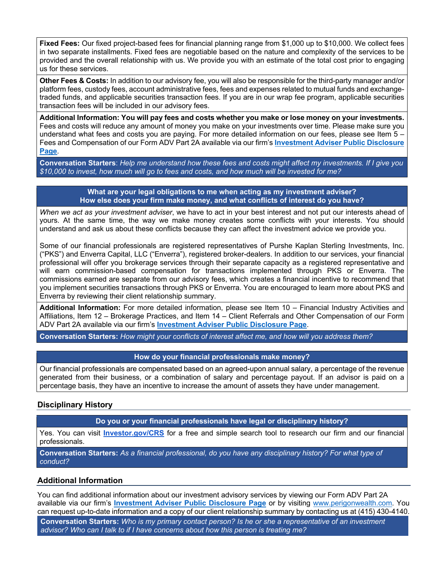**Fixed Fees:** Our fixed project-based fees for financial planning range from \$1,000 up to \$10,000. We collect fees in two separate installments. Fixed fees are negotiable based on the nature and complexity of the services to be provided and the overall relationship with us. We provide you with an estimate of the total cost prior to engaging us for these services.

**Other Fees & Costs:** In addition to our advisory fee, you will also be responsible for the third-party manager and/or platform fees, custody fees, account administrative fees, fees and expenses related to mutual funds and exchangetraded funds, and applicable securities transaction fees. If you are in our wrap fee program, applicable securities transaction fees will be included in our advisory fees.

**Additional Information: You will pay fees and costs whether you make or lose money on your investments.**  Fees and costs will reduce any amount of money you make on your investments over time. Please make sure you understand what fees and costs you are paying. For more detailed information on our fees, please see Item 5 – Fees and Compensation of our Form ADV Part 2A available via our firm's **Investment Adviser Public Disclosure Page**.

**Conversation Starters**: *Help me understand how these fees and costs might affect my investments. If I give you \$10,000 to invest, how much will go to fees and costs, and how much will be invested for me?*

#### **What are your legal obligations to me when acting as my investment adviser? How else does your firm make money, and what conflicts of interest do you have?**

*When we act as your investment adviser*, we have to act in your best interest and not put our interests ahead of yours. At the same time, the way we make money creates some conflicts with your interests. You should understand and ask us about these conflicts because they can affect the investment advice we provide you.

Some of our financial professionals are registered representatives of Purshe Kaplan Sterling Investments, Inc. ("PKS") and Enverra Capital, LLC ("Enverra"), registered broker-dealers. In addition to our services, your financial professional will offer you brokerage services through their separate capacity as a registered representative and will earn commission-based compensation for transactions implemented through PKS or Enverra. The commissions earned are separate from our advisory fees, which creates a financial incentive to recommend that you implement securities transactions through PKS or Enverra. You are encouraged to learn more about PKS and Enverra by reviewing their client relationship summary.

**Additional Information:** For more detailed information, please see Item 10 – Financial Industry Activities and Affiliations, Item 12 – Brokerage Practices, and Item 14 – Client Referrals and Other Compensation of our Form ADV Part 2A available via our firm's **Investment Adviser Public Disclosure Page**.

**Conversation Starters:** *How might your conflicts of interest affect me, and how will you address them?*

### **How do your financial professionals make money?**

Our financial professionals are compensated based on an agreed-upon annual salary, a percentage of the revenue generated from their business, or a combination of salary and percentage payout. If an advisor is paid on a percentage basis, they have an incentive to increase the amount of assets they have under management.

### **Disciplinary History**

**Do you or your financial professionals have legal or disciplinary history?**

Yes. You can visit **Investor.gov/CRS** for a free and simple search tool to research our firm and our financial professionals.

**Conversation Starters:** *As a financial professional, do you have any disciplinary history? For what type of conduct?*

### **Additional Information**

You can find additional information about our investment advisory services by viewing our Form ADV Part 2A available via our firm's **Investment Adviser Public Disclosure Page** or by visiting www.perigonwealth.com. You can request up-to-date information and a copy of our client relationship summary by contacting us at (415) 430-4140.

**Conversation Starters:** *Who is my primary contact person? Is he or she a representative of an investment advisor? Who can I talk to if I have concerns about how this person is treating me?*